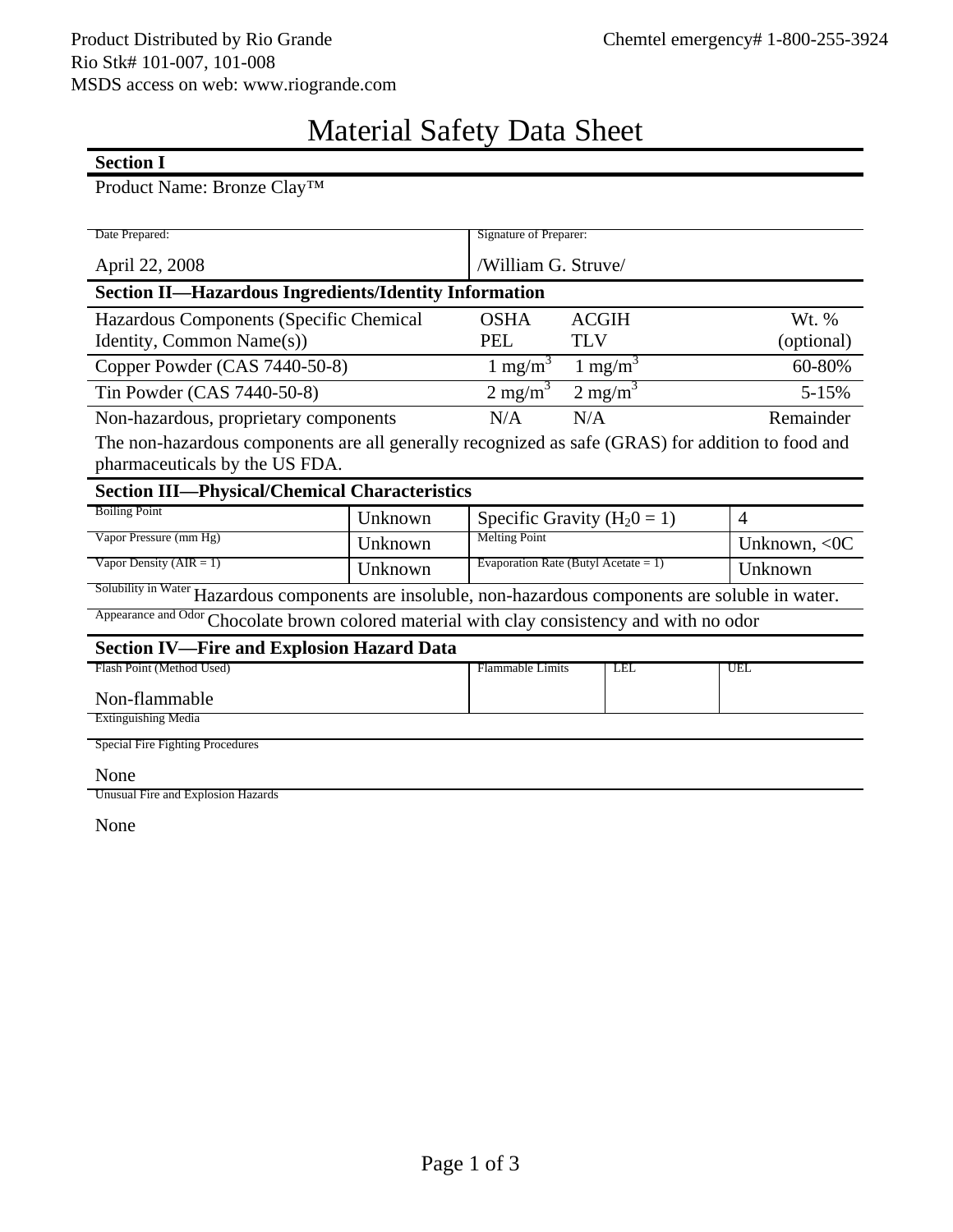## Material Safety Data Sheet

## **Section I**

## Product Name: Bronze Clay™

| Date Prepared:                                                                                         |                          | Signature of Preparer:                    |                    |                |  |  |  |
|--------------------------------------------------------------------------------------------------------|--------------------------|-------------------------------------------|--------------------|----------------|--|--|--|
|                                                                                                        |                          | /William G. Struve/                       |                    |                |  |  |  |
| April 22, 2008                                                                                         |                          |                                           |                    |                |  |  |  |
| <b>Section II-Hazardous Ingredients/Identity Information</b>                                           |                          |                                           |                    |                |  |  |  |
| Hazardous Components (Specific Chemical                                                                |                          | <b>ACGIH</b><br><b>OSHA</b>               |                    | Wt. %          |  |  |  |
| Identity, Common Name(s))                                                                              | <b>PEL</b><br><b>TLV</b> |                                           | (optional)         |                |  |  |  |
| Copper Powder (CAS 7440-50-8)                                                                          |                          | $1 \text{ mg/m}^3$<br>1 mg/m <sup>3</sup> |                    | 60-80%         |  |  |  |
| Tin Powder (CAS 7440-50-8)                                                                             |                          | $2 \text{ mg/m}^3$                        | $2 \text{ mg/m}^3$ | $5 - 15%$      |  |  |  |
| Non-hazardous, proprietary components                                                                  |                          | N/A                                       | N/A                | Remainder      |  |  |  |
| The non-hazardous components are all generally recognized as safe (GRAS) for addition to food and      |                          |                                           |                    |                |  |  |  |
| pharmaceuticals by the US FDA.                                                                         |                          |                                           |                    |                |  |  |  |
| <b>Section III-Physical/Chemical Characteristics</b>                                                   |                          |                                           |                    |                |  |  |  |
| <b>Boiling Point</b>                                                                                   | Unknown                  | Specific Gravity ( $H_20 = 1$ )           |                    | $\overline{4}$ |  |  |  |
| Vapor Pressure (mm Hg)                                                                                 | Unknown                  | <b>Melting Point</b>                      |                    | Unknown, $<0C$ |  |  |  |
| Vapor Density ( $AIR = 1$ )                                                                            | Unknown                  | Evaporation Rate (Butyl Acetate = 1)      |                    | Unknown        |  |  |  |
| Solubility in Water Hazardous components are insoluble, non-hazardous components are soluble in water. |                          |                                           |                    |                |  |  |  |
| Appearance and Odor Chocolate brown colored material with clay consistency and with no odor            |                          |                                           |                    |                |  |  |  |
| <b>Section IV-Fire and Explosion Hazard Data</b>                                                       |                          |                                           |                    |                |  |  |  |
| Flash Point (Method Used)                                                                              |                          | <b>Flammable Limits</b>                   | LEL                | UEL            |  |  |  |
| Non-flammable                                                                                          |                          |                                           |                    |                |  |  |  |
| <b>Extinguishing Media</b>                                                                             |                          |                                           |                    |                |  |  |  |
| Special Fire Fighting Procedures                                                                       |                          |                                           |                    |                |  |  |  |
| None                                                                                                   |                          |                                           |                    |                |  |  |  |

Unusual Fire and Explosion Hazards

None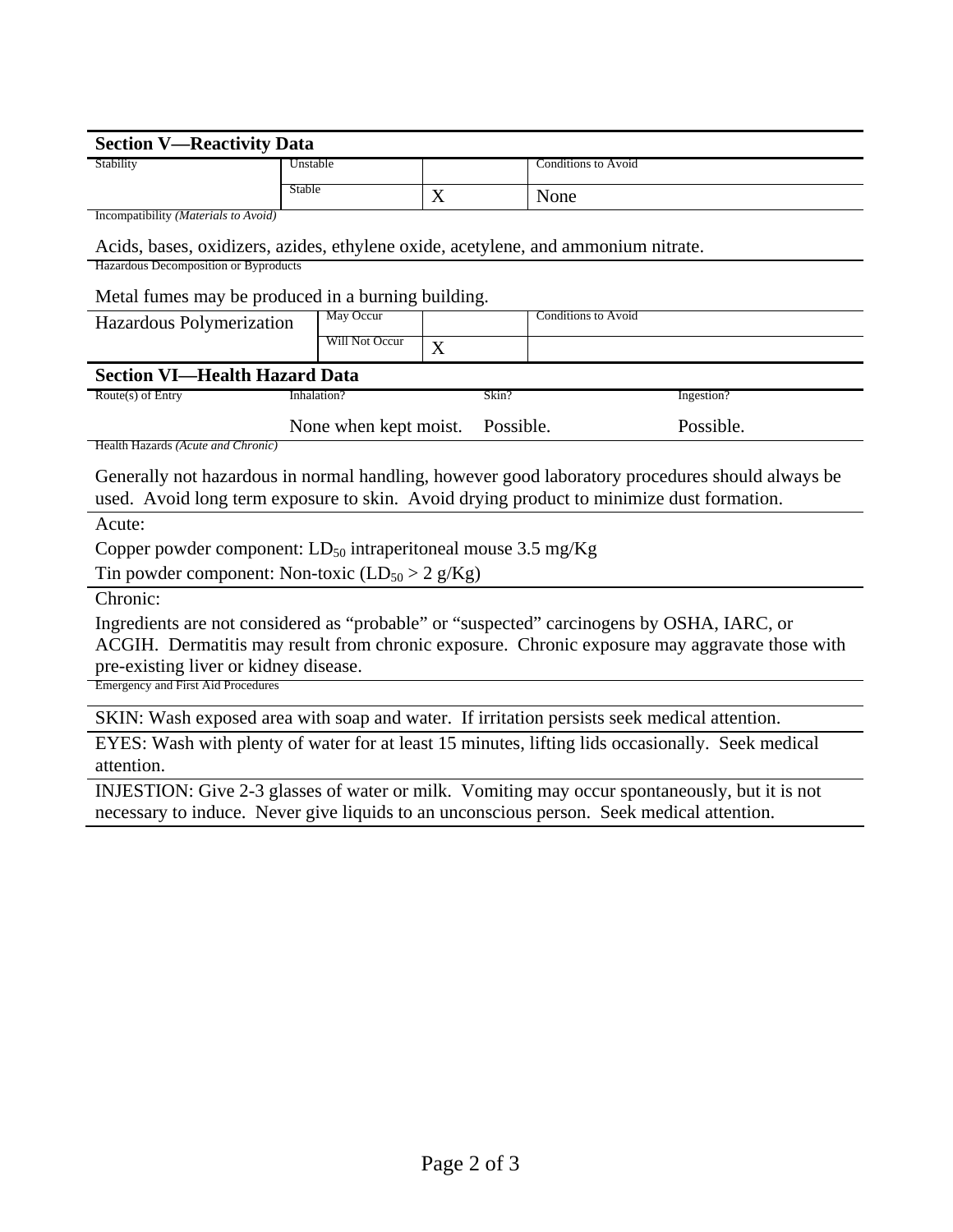| <b>Section V-Reactivity Data</b>                                                                 |                       |       |                                                                                                 |  |  |  |
|--------------------------------------------------------------------------------------------------|-----------------------|-------|-------------------------------------------------------------------------------------------------|--|--|--|
| Stability                                                                                        | Unstable              |       | <b>Conditions to Avoid</b>                                                                      |  |  |  |
|                                                                                                  | Stable                | X     | None                                                                                            |  |  |  |
| Incompatibility (Materials to Avoid)                                                             |                       |       |                                                                                                 |  |  |  |
| Acids, bases, oxidizers, azides, ethylene oxide, acetylene, and ammonium nitrate.                |                       |       |                                                                                                 |  |  |  |
| Hazardous Decomposition or Byproducts                                                            |                       |       |                                                                                                 |  |  |  |
| Metal fumes may be produced in a burning building.                                               |                       |       |                                                                                                 |  |  |  |
| Hazardous Polymerization                                                                         | May Occur             |       | <b>Conditions to Avoid</b>                                                                      |  |  |  |
|                                                                                                  | Will Not Occur        | X     |                                                                                                 |  |  |  |
| <b>Section VI-Health Hazard Data</b>                                                             |                       |       |                                                                                                 |  |  |  |
| Route(s) of Entry                                                                                | Inhalation?           | Skin? | Ingestion?                                                                                      |  |  |  |
|                                                                                                  | None when kept moist. |       | Possible.<br>Possible.                                                                          |  |  |  |
| Health Hazards (Acute and Chronic)                                                               |                       |       |                                                                                                 |  |  |  |
|                                                                                                  |                       |       | Generally not hazardous in normal handling, however good laboratory procedures should always be |  |  |  |
| used. Avoid long term exposure to skin. Avoid drying product to minimize dust formation.         |                       |       |                                                                                                 |  |  |  |
| Acute:                                                                                           |                       |       |                                                                                                 |  |  |  |
| Copper powder component: $LD_{50}$ intraperitoneal mouse 3.5 mg/Kg                               |                       |       |                                                                                                 |  |  |  |
| Tin powder component: Non-toxic $(LD_{50} > 2 g/Kg)$                                             |                       |       |                                                                                                 |  |  |  |
| Chronic:                                                                                         |                       |       |                                                                                                 |  |  |  |
| Ingredients are not considered as "probable" or "suspected" carcinogens by OSHA, IARC, or        |                       |       |                                                                                                 |  |  |  |
|                                                                                                  |                       |       | ACGIH. Dermatitis may result from chronic exposure. Chronic exposure may aggravate those with   |  |  |  |
| pre-existing liver or kidney disease.                                                            |                       |       |                                                                                                 |  |  |  |
| <b>Emergency and First Aid Procedures</b>                                                        |                       |       |                                                                                                 |  |  |  |
| SKIN: Wash exposed area with soap and water. If irritation persists seek medical attention.      |                       |       |                                                                                                 |  |  |  |
| EYES: Wash with plenty of water for at least 15 minutes, lifting lids occasionally. Seek medical |                       |       |                                                                                                 |  |  |  |
| attention.                                                                                       |                       |       |                                                                                                 |  |  |  |
| INJESTION: Give 2-3 glasses of water or milk. Vomiting may occur spontaneously, but it is not    |                       |       |                                                                                                 |  |  |  |
| necessary to induce. Never give liquids to an unconscious person. Seek medical attention.        |                       |       |                                                                                                 |  |  |  |
|                                                                                                  |                       |       |                                                                                                 |  |  |  |